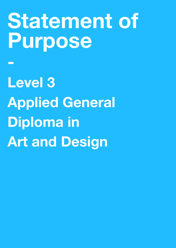# **Statement of Purpose**

**Level 3 Applied General Diploma in Art and Design**

**-**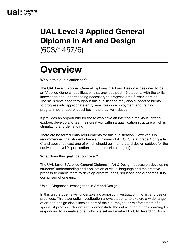### **UAL Level 3 Applied General Diploma in Art and Design**  (603/1457/6)

## **Overview**

Who is this qualification for?

The UAL Level 3 Applied General Diploma in Art and Design is designed to be an 'Applied General' qualification that provides post-16 students with the skills, knowledge and understanding necessary to progress onto further learning. The skills developed throughout this qualification may also support students to progress into appropriate entry level roles in employment and training programmes or apprenticeships in the creative industry.

It provides an opportunity for those who have an interest in the visual arts to explore, develop and test their creativity within a qualification structure which is stimulating and demanding.

There are no formal entry requirements for this qualification. However, it is recommended that students have a minimum of 4 x GCSEs at grade 4 or grade C and above, at least one of which should be in an art and design subject (or the equivalent Level 2 qualification in an appropriate subject).

#### What does this qualification cover?

The UAL Level 3 Applied General Diploma in Art & Design focuses on developing students' understanding and application of visual language and the creative process to enable them to develop creative ideas, solutions and outcomes. It is comprised of one unit:

Unit 1: Diagnostic investigation in Art and Design

In this unit, students will undertake a diagnostic investigation into art and design practices. This diagnostic investigation allows students to explore a wide range of art and design disciplines as part of their journey to, or reinforcement of a specialist practice. Students will demonstrate the culmination of their learning by responding to a creative brief, which is set and marked by UAL Awarding Body.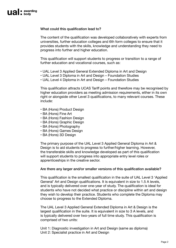#### What could this qualification lead to?

The content of the qualification was developed collaboratively with experts from universities, further education colleges and 6th form colleges to ensure that it provides students with the skills, knowledge and understanding they need to progress into further and higher education.

This qualification will support students to progress or transition to a range of further education and vocational courses, such as:

- UAL Level 3 Applied General Extended Diploma in Art and Design
- UAL Level 3 Diploma in Art and Design Foundation Studies
- UAL Level 4 Diploma in Art and Design Foundation Studies

This qualification attracts UCAS Tariff points and therefore may be recognised by higher education providers as meeting admission requirements, either in its own right or alongside other Level 3 qualifications, to many relevant courses. These include:

- BA (Hons) Product Design
- BA (Hons) Fine Art
- BA (Hons) Fashion Design
- BA (Hons) Graphic Design
- BA (Hons) Photography
- BA (Hons) Games Design
- BA (Hons) 3D Design

The primary purpose of the UAL Level 3 Applied General Diploma in Art & Design is to aid students to progress to further/higher learning. However, the transferable skills and knowledge developed as part of this qualification will support students to progress into appropriate entry level roles or apprenticeships in the creative sector.

#### Are there any larger and/or smaller versions of this qualification available?

This qualification is the smallest qualification in the suite of UAL Level 3 'Applied General' Art and Design qualifications. It is equivalent in size to 1.5 A levels, and is typically delivered over one-year of study. The qualification is ideal for students who have not decided what practice or discipline within art and design they wish to develop their practice. Students who complete the Diploma may choose to progress to the Extended Diploma.

The UAL Level 3 Applied General Extended Diploma in Art & Design is the largest qualification in the suite. It is equivalent in size to 3 A levels, and is typically delivered over two-years of full time study. This qualification is comprised of two units:

Unit 1: Diagnostic investigation in Art and Design (same as diploma) Unit 2: Specialist practice in Art and Design